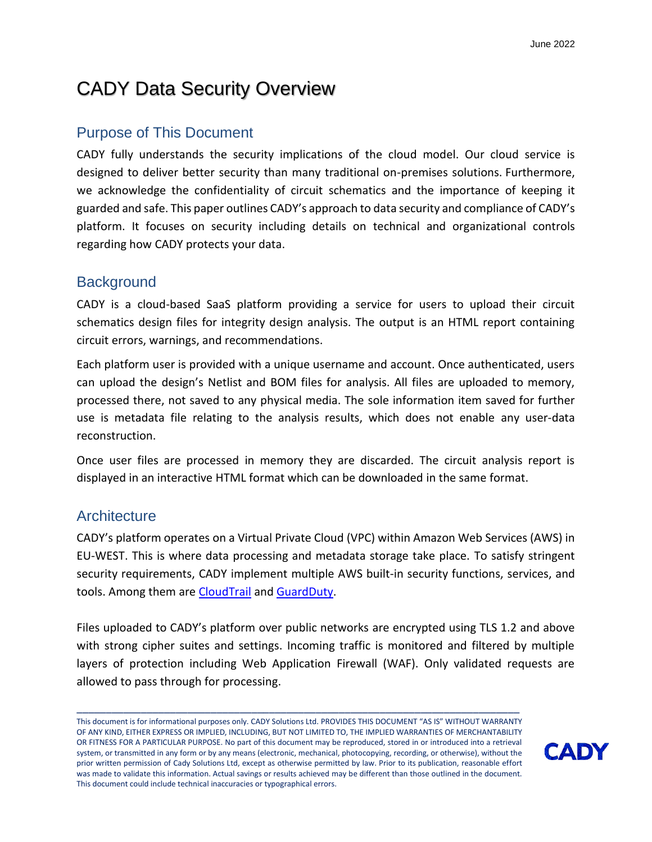# CADY Data Security Overview

## Purpose of This Document

CADY fully understands the security implications of the cloud model. Our cloud service is designed to deliver better security than many traditional on-premises solutions. Furthermore, we acknowledge the confidentiality of circuit schematics and the importance of keeping it guarded and safe. This paper outlines CADY's approach to data security and compliance of CADY's platform. It focuses on security including details on technical and organizational controls regarding how CADY protects your data.

### **Background**

CADY is a cloud-based SaaS platform providing a service for users to upload their circuit schematics design files for integrity design analysis. The output is an HTML report containing circuit errors, warnings, and recommendations.

Each platform user is provided with a unique username and account. Once authenticated, users can upload the design's Netlist and BOM files for analysis. All files are uploaded to memory, processed there, not saved to any physical media. The sole information item saved for further use is metadata file relating to the analysis results, which does not enable any user-data reconstruction.

Once user files are processed in memory they are discarded. The circuit analysis report is displayed in an interactive HTML format which can be downloaded in the same format.

### **Architecture**

CADY's platform operates on a Virtual Private Cloud (VPC) within Amazon Web Services (AWS) in EU-WEST. This is where data processing and metadata storage take place. To satisfy stringent security requirements, CADY implement multiple AWS built-in security functions, services, and tools. Among them are [CloudTrail](https://docs.aws.amazon.com/awscloudtrail/latest/userguide/cloudtrail-user-guide.html) and [GuardDuty.](https://aws.amazon.com/guardduty/)

Files uploaded to CADY's platform over public networks are encrypted using TLS 1.2 and above with strong cipher suites and settings. Incoming traffic is monitored and filtered by multiple layers of protection including Web Application Firewall (WAF). Only validated requests are allowed to pass through for processing.



This document is for informational purposes only. CADY Solutions Ltd. PROVIDES THIS DOCUMENT "AS IS" WITHOUT WARRANTY OF ANY KIND, EITHER EXPRESS OR IMPLIED, INCLUDING, BUT NOT LIMITED TO, THE IMPLIED WARRANTIES OF MERCHANTABILITY OR FITNESS FOR A PARTICULAR PURPOSE. No part of this document may be reproduced, stored in or introduced into a retrieval system, or transmitted in any form or by any means (electronic, mechanical, photocopying, recording, or otherwise), without the prior written permission of Cady Solutions Ltd, except as otherwise permitted by law. Prior to its publication, reasonable effort was made to validate this information. Actual savings or results achieved may be different than those outlined in the document. This document could include technical inaccuracies or typographical errors.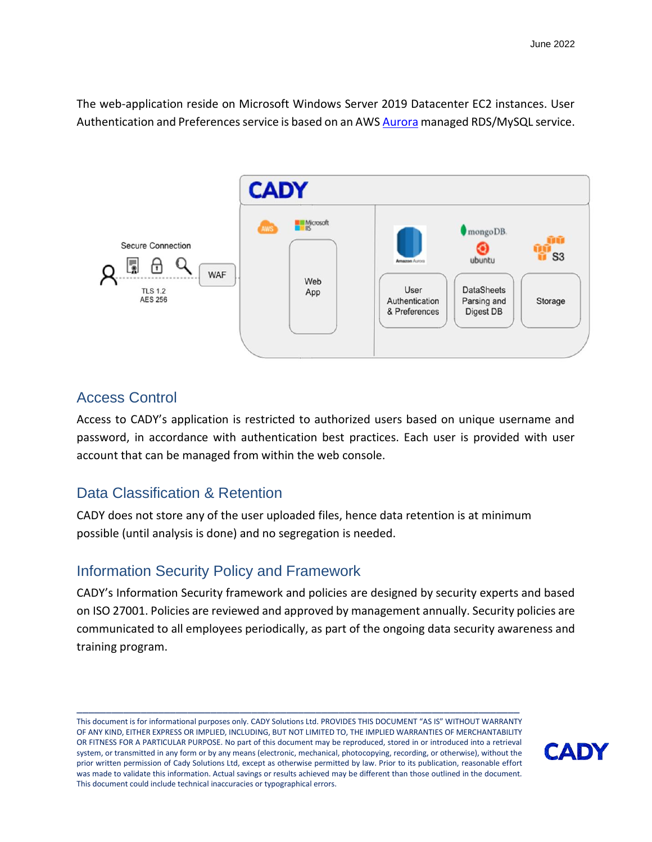The web-application reside on Microsoft Windows Server 2019 Datacenter EC2 instances. User Authentication and Preferences service is based on an AWS **Aurora** managed RDS/MySQL service.



### Access Control

Access to CADY's application is restricted to authorized users based on unique username and password, in accordance with authentication best practices. Each user is provided with user account that can be managed from within the web console.

### Data Classification & Retention

CADY does not store any of the user uploaded files, hence data retention is at minimum possible (until analysis is done) and no segregation is needed.

# Information Security Policy and Framework

CADY's Information Security framework and policies are designed by security experts and based on [ISO 27001.](https://www.iso.org/isoiec-27001-information-security.html) Policies are reviewed and approved by management annually. Security policies are communicated to all employees periodically, as part of the ongoing data security awareness and training program.

This document is for informational purposes only. CADY Solutions Ltd. PROVIDES THIS DOCUMENT "AS IS" WITHOUT WARRANTY OF ANY KIND, EITHER EXPRESS OR IMPLIED, INCLUDING, BUT NOT LIMITED TO, THE IMPLIED WARRANTIES OF MERCHANTABILITY OR FITNESS FOR A PARTICULAR PURPOSE. No part of this document may be reproduced, stored in or introduced into a retrieval system, or transmitted in any form or by any means (electronic, mechanical, photocopying, recording, or otherwise), without the prior written permission of Cady Solutions Ltd, except as otherwise permitted by law. Prior to its publication, reasonable effort was made to validate this information. Actual savings or results achieved may be different than those outlined in the document. This document could include technical inaccuracies or typographical errors.

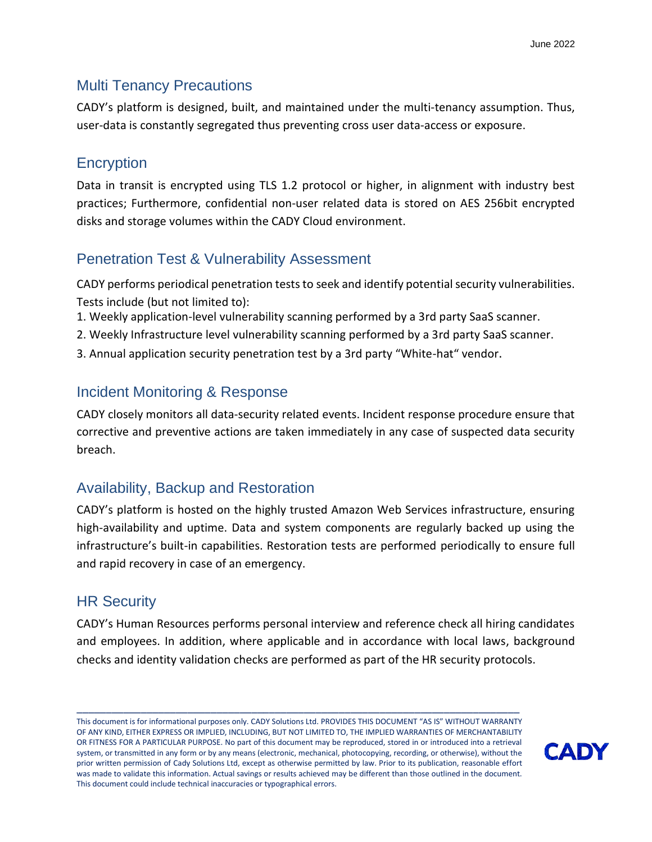## Multi Tenancy Precautions

CADY's platform is designed, built, and maintained under the multi-tenancy assumption. Thus, user-data is constantly segregated thus preventing cross user data-access or exposure.

## **Encryption**

Data in transit is encrypted using TLS 1.2 protocol or higher, in alignment with industry best practices; Furthermore, confidential non-user related data is stored on AES 256bit encrypted disks and storage volumes within the CADY Cloud environment.

# Penetration Test & Vulnerability Assessment

CADY performs periodical penetration tests to seek and identify potential security vulnerabilities. Tests include (but not limited to):

- 1. Weekly application-level vulnerability scanning performed by a 3rd party SaaS scanner.
- 2. Weekly Infrastructure level vulnerability scanning performed by a 3rd party SaaS scanner.
- 3. Annual application security penetration test by a 3rd party "White-hat" vendor.

# Incident Monitoring & Response

CADY closely monitors all data-security related events. Incident response procedure ensure that corrective and preventive actions are taken immediately in any case of suspected data security breach.

# Availability, Backup and Restoration

CADY's platform is hosted on the highly trusted Amazon Web Services infrastructure, ensuring high-availability and uptime. Data and system components are regularly backed up using the infrastructure's built-in capabilities. Restoration tests are performed periodically to ensure full and rapid recovery in case of an emergency.

## HR Security

CADY's Human Resources performs personal interview and reference check all hiring candidates and employees. In addition, where applicable and in accordance with local laws, background checks and identity validation checks are performed as part of the HR security protocols.

This document is for informational purposes only. CADY Solutions Ltd. PROVIDES THIS DOCUMENT "AS IS" WITHOUT WARRANTY OF ANY KIND, EITHER EXPRESS OR IMPLIED, INCLUDING, BUT NOT LIMITED TO, THE IMPLIED WARRANTIES OF MERCHANTABILITY OR FITNESS FOR A PARTICULAR PURPOSE. No part of this document may be reproduced, stored in or introduced into a retrieval system, or transmitted in any form or by any means (electronic, mechanical, photocopying, recording, or otherwise), without the prior written permission of Cady Solutions Ltd, except as otherwise permitted by law. Prior to its publication, reasonable effort was made to validate this information. Actual savings or results achieved may be different than those outlined in the document. This document could include technical inaccuracies or typographical errors.